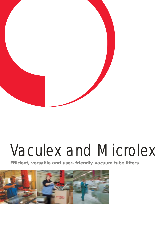

# Vaculex and Microlex

**Efficient, versatile and user-friendly vacuum tube lifters** 

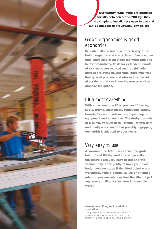**Our vacuum tube lifters are designed for lifts between 5 and 200 kg. They are simple to install, very easy to use and can be adapted to lift virtually any object.** 

### Good ergonomics is good economics

**Repeated lifts do not have to be heavy to be both dangerous and costly. Most often, vacuum tube lifters lead to an increased work rate and better productivity. Costs for extended periods of sick leave are reduced and rehabilitation periods are avoided. Our tube lifters minimize that type of problem and also reduce the risk of accidents that can injure the user as well as damage the goods.**

# Lift almost everything

**With a vacuum tube lifter you can lift boxes, sacks, drums, sheet metal, computers, crates, barrels, TVs and much more – depending on equipment and accessories. The design consists of a pump, vacuum hose, lift tube, control unit and finally a suction foot or possibly a gripping tool which is adapted to your needs.**

### Very easy to use

**A vacuum tube lifter uses vacuum to grab hold of and lift the load in a single action; the controls are very easy to use and the vacuum tube lifter gently follows your own body movements, as if the lifted object were weightless. With a bottom swivel or an angle adaptor you can rotate or turn the lifted object any way you like, for instance in assembly work.** 

*Vaculex as a lifting tool in window production. Lifting vertical glass panes for placement in horizontal window frames. The panes are turned 90 degrees using an angle adaptor.*

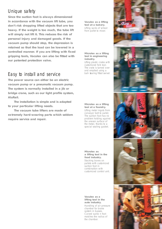### Unique safety

**Since the suction foot is always dimensioned in accordance with the vacuum lift tube, you don't risk dropping lifted objects that are too heavy. If the weight is too much, the tube lift will simply not lift it. This reduces the risk of personal injury and damaged goods. If the vacuum pump should stop, the depression is retained so that the load can be lowered in a controlled manner. If you are lifting with fixed gripping tools, Vaculex can also be fitted with our patented protection valve.**

## Easy to install and service

**The power source can either be an electric vacuum pump or a pneumatic vacuum pump. The system is normally installed in a jib or bridge crane, such as our light profile system, AluRail.**

**The installation is simple and is adapted to your particular lifting needs.**

**The vacuum tube lifters are made of extremely hard-wearing parts which seldom require service and repair.** 

*Vaculex as a lifting tool at a bakery. Lifting sacks of wheat from pallet to mixer.*

#### *Microlex as a lifting tool in engineering industry.*

*Lifting plastic crates with customized fork tool. The crate is turned over and emptied using a ball-bearing fitted swivel.*

*Microlex as a lifting tool at a foundry. Lifting metal ingots from conveyor belt to pallet. The suction foot has no problem holding against the uneven surface of the metal, thanks to a special sealing gasket.*

*Microlex as a lifting tool in the food industry. Stacking boxes on pallets with customized suction foot in combination with customized control unit.*

*Vaculex as a lifting tool in the auto industry. Handling of air pressure chamber for brake system in busses. Curved suctio n foot matches the radius of the chamber.*







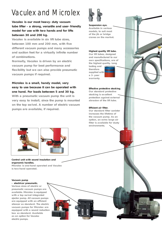# Vaculex and Microlex

**Vaculex is our most heavy-duty vacuum tube lifter – a strong, versatile and user-friendly model for use with two hands and for lifts between 30 and 200 kg.**

**Vaculex is available in six lift tube sizes, between 100 mm and 200 mm, with five different vacuum pumps and many accessories and suction feet for a virtually infinite number of combinations.**

**Normally, Vaculex is driven by an electric vacuum pump for best performance and flexibility but we can also provide pneumatic vacuum pumps if required.**

#### **Microlex is a small, handy model, very easy to use because it can be operated with one hand. For loads between 5 and 30 kg.**

**With a pneumatic vacuum pump the unit is very easy to install, since the pump is mounted on the top swivel. A number of electric vacuum pumps are available, if required.**



#### **Suspension eye.**

**Available in various models, to suit most of the jib or bridge cranes on the market.**

#### **Highest quality lift tube.**

**Our lift tubes, designed and manufactured to our own specifications, are of the highest quality. Long** 

**lasting and therefore supplied with a 3-year warranty.**

#### **Effective protective stocking.**

**Our standard protective stocking is excellent protection against external abrasion of the lift tube.**

#### **Efficient air filter.**

**Our standard filter canister increases the lifetime of the vacuum pump. As an option, an extra large air filter is available for dusty environments.**





**Control unit with sound insulation and ergonomic handles. Microlex is one-hand operated and Vaculex is two-hand operated.**

#### **Vacuum pump - electric or pneumatic.**

**Various sizes of electric or pneumatic vacuum pumps are available. Microlex is equipped with a top swivel integrated ejector pump. All vacuum pumps are equipped with an efficient silencer as standard. The electric vacuum pumps for Microlex are equipped with a sound reduction box as standard. Available as an option for Vaculex electric pumps.**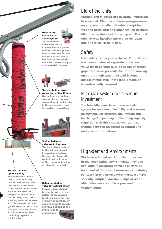#### **Non-return top valve to avoid injuries. The Non-return**



**valve ensures that in the event of a power failure such as a pump breakdown, the lift unit will slowly descend to the floor. A fact which minimizes personal injury and material damage.**



**Top and bottom screw connection of the lift tube. Our unique and patented solution for an optimal suspension of the lift tube to the vacuum box and top swivel, respectively.**



**Spring-balanced valve control system. The load always returns to the set height level, irrespective of where the operator leaves the control unit or in case of the control unit being accidentally handled.** 

#### **Suction foot with optimal safety.**

**The tube lifters do not drop a load that they can lift and the lift tube will not lift if the load is too heavy. All standard suction feet are sizeadapted to the lift tube that is being used, with a safety factor of at least 2.5. This means that the goods are attached to the foot with a suction force 2.5 times greater than the lifting capacity of the lift tube.**

#### **Bottom protection valve for optimal safety.**

**In case a load should break, the valve in the bottom of the vacuum head minimizes the risk of injury or damage, by opening instantaneously and thus decreasing the lifting force to a minimum.**

# Life of the units

**Vaculex and Microlex are basically impossible to wear out. We offer a three-year guarantee on all parts, including lift tube, except for wearing parts such as rubber sealing gaskets, filter inserts, drive belt for pump etc. Our first tube lift was installed more than ten years ago and is still in daily use.**

## **Safety**

**User safety is a key issue for us. For instance, we have a patented separate protection valve for fixed tools such as hooks or scissor grips. The valve prevents the lift from moving upward at high speed. Instead it stops almost immediately if the load breaks or is inadvertently released.** 

### Modular system for a secure investment

**The tube lifters are based on a modular system for maximum flexibility and a secure investment. For instance, the lift tube can be changed depending on the lifting capacity required. With the Vaculex you can also change between an extended control unit and a short, normal one.** 

# High-demand environments

**We have adapted our lift units to function in the most varied environments. They are available in acidproof versions in class A4 for chemical, food or pharmaceutical industry. For work in explosive environments we have specially-adapted vacuum pumps or as an alternative we also offer a pneumatic vacuum pump.**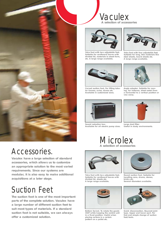

# Accessories.

**Vaculex have a large selection of standard accessories, which allows us to customize an appropriate solution to the most varied requirements. Since our systems are modular, it is also easy to make additional acquisitions at a later stage.**

# Suction Feet

**The suction foot is one of the most important parts of the complete solution. Vaculex have a large number of different suction feet to suit most types of materials. If a standard suction foot is not suitable, we can always offer a customized solution.**





**Yoke foot with two adjustable feet. Suitable for cardboard boxes with divided lid, materials in sheet form, etc. A large range available.**



**Curved suction foot. For lifting tubular frames, axles, drums etc. Available in customized sizes.**



**Sound reduction box. Available for all electric pump sizes.**



**Yoke foot with four adjustable feet. Suitable for long, thin materials like steel sheets, board sheets etc. A large range available.**



**Angle adaptor. Suitable for moving, for instance, sheet metal from a horizontal to a vertical position or vice versa.**



**Large dust filter. Useful in dusty environments.**

Microlex **A selection of accessories**



**Yoke foot with two adjustable feet. Suitable for cardboard boxes with divided lid, sheets etc. A large range available.**



**Bottom Swivel. To rotate the goods 360º while keeping the control unit in a fixed position. Useful when placing cartons in a certain pattern on a pallet etc.**



**Round suction foot. Suitable for handling cans, drums, stones, bricks etc. Several diameters available.**



**Quick disconnection. Bayonet joint type. Upper and lower part. For fast and simple change of suction feet/tools.**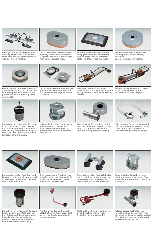

**Cross yoke foot, (H-shaped), with four adjustable feet. Suitable for large steel sheets, board sheets etc. A large range available.**



**Oval suction foot. Principally for handling sacks but also suitable for plastic shrink-wrapped goods. Available in several sizes.**



**Rectangular suction foot. For handling goods with sealed surfaces such as cardboard, sheet metal, plate, etc. Many sizes available.**



**Round suction foot. Suitable for handling cans, drums, stones, bricks etc. Several diameters available.**



**Bottom Swivel. To rotate the goods 360º while keeping the control unit in a fixed position. Suitable when placing boxes in a certain pattern on a pallet.**



**Quick disconnections. Bayonet joint type. Upper and lower part. For fast and simple change of suction feet/tools.**



**Flexible extended control unit. Useful when stacking goods high up on a pallet etc. Available in various lengths.**



**Rigid extended control unit. Useful when handling wide goods. Available in various lengths.**



**Protection valve. For safe lifts using fixed hooks/tools. Fitted between the lift tube and the vacuum head. Immediately eliminates the de-pression inside the lift tube, if the load is released inadvertently.**



**Universal joint. Fitted in between the lift tube and the vacuum head. Keeps the lift tube in a vertical position if load becomes unbalanced.**



**Release valve for standard control unit. Facilitates load releasing when large suction feet are used, for instance during vertical handling.**



**Release valve for extended control unit. Facilitates load releasing when large suction feet are used, for instance during vertical handling.**



**Rectangular suction foot. For handling goods with sealed surfaces such as cardboard sheet metal, plate etc. Many sizes available.**



**Protective valve. For safe lifts using fixed hooks/tools. Fitted between the lift tube and the vacuum box. Immediately eliminates the depression inside the lift tube if the load is released inadvertently.**



**Oval suction foot. Principally for handling sacks but also useful for plastic shrink-wrapped goods. Available in several sizes.**



**Flexible extended control unit. Useful when stacking goods high up on a pallet etc. Available in various lengths.**



**Fixed yoke suction foot with bellow cups. Useful for rough surfaces or on surfaces with differences in levels. Various models available.**



**Rigid extended control unit. Useful when handling wide goods. Available in various lengths.**



**Angle adaptor. Suitable for moving, for instance, sheet metal from a vertical to a horizontal position or vice versa.**



**Release valve. Facilitates load releasing when large suction feet are used, for instance during vertical lifts. Available for standard as well as extended control unit.**